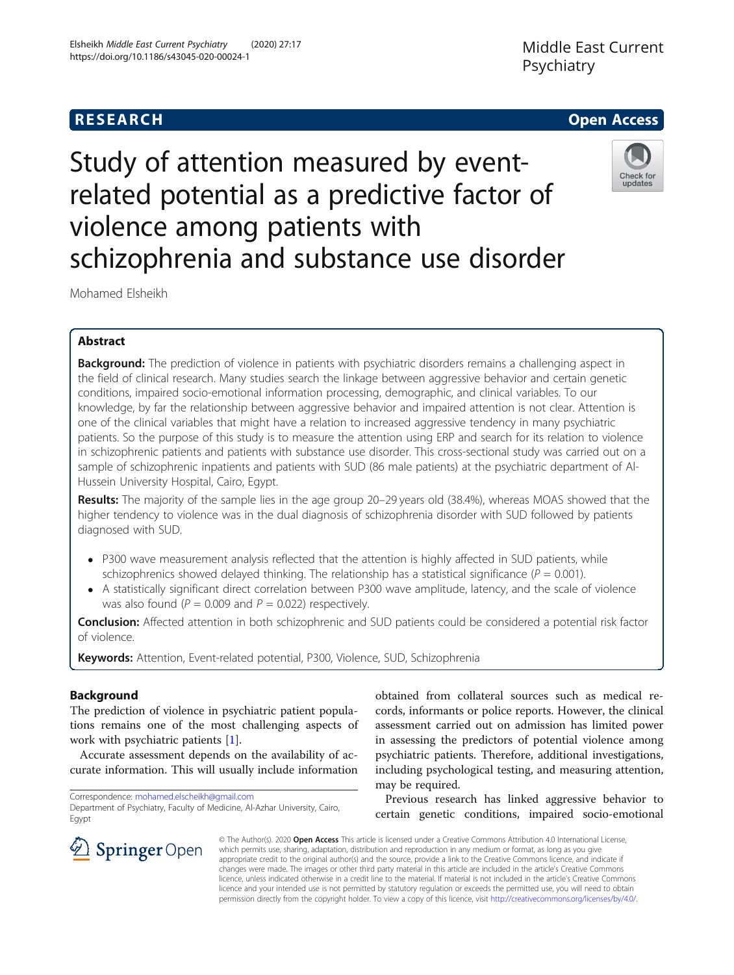## https://doi.org/10.1186/s43045-020-00024-1

Elsheikh Middle East Current Psychiatry (2020) 27:17

### Middle East Current Psychiatry



# Study of attention measured by eventrelated potential as a predictive factor of violence among patients with schizophrenia and substance use disorder



Mohamed Elsheikh

### Abstract

Background: The prediction of violence in patients with psychiatric disorders remains a challenging aspect in the field of clinical research. Many studies search the linkage between aggressive behavior and certain genetic conditions, impaired socio-emotional information processing, demographic, and clinical variables. To our knowledge, by far the relationship between aggressive behavior and impaired attention is not clear. Attention is one of the clinical variables that might have a relation to increased aggressive tendency in many psychiatric patients. So the purpose of this study is to measure the attention using ERP and search for its relation to violence in schizophrenic patients and patients with substance use disorder. This cross-sectional study was carried out on a sample of schizophrenic inpatients and patients with SUD (86 male patients) at the psychiatric department of Al-Hussein University Hospital, Cairo, Egypt.

Results: The majority of the sample lies in the age group 20-29 years old (38.4%), whereas MOAS showed that the higher tendency to violence was in the dual diagnosis of schizophrenia disorder with SUD followed by patients diagnosed with SUD.

- P300 wave measurement analysis reflected that the attention is highly affected in SUD patients, while schizophrenics showed delayed thinking. The relationship has a statistical significance ( $P = 0.001$ ).
- A statistically significant direct correlation between P300 wave amplitude, latency, and the scale of violence was also found ( $P = 0.009$  and  $P = 0.022$ ) respectively.

**Conclusion:** Affected attention in both schizophrenic and SUD patients could be considered a potential risk factor of violence.

Keywords: Attention, Event-related potential, P300, Violence, SUD, Schizophrenia

#### Background

The prediction of violence in psychiatric patient populations remains one of the most challenging aspects of work with psychiatric patients [\[1\]](#page-7-0).

Accurate assessment depends on the availability of accurate information. This will usually include information

Correspondence: [mohamed.elscheikh@gmail.com](mailto:mohamed.elscheikh@gmail.com) Department of Psychiatry, Faculty of Medicine, Al-Azhar University, Cairo, Egypt

obtained from collateral sources such as medical records, informants or police reports. However, the clinical assessment carried out on admission has limited power in assessing the predictors of potential violence among psychiatric patients. Therefore, additional investigations, including psychological testing, and measuring attention, may be required.

Previous research has linked aggressive behavior to certain genetic conditions, impaired socio-emotional



© The Author(s). 2020 Open Access This article is licensed under a Creative Commons Attribution 4.0 International License, which permits use, sharing, adaptation, distribution and reproduction in any medium or format, as long as you give appropriate credit to the original author(s) and the source, provide a link to the Creative Commons licence, and indicate if changes were made. The images or other third party material in this article are included in the article's Creative Commons licence, unless indicated otherwise in a credit line to the material. If material is not included in the article's Creative Commons licence and your intended use is not permitted by statutory regulation or exceeds the permitted use, you will need to obtain permission directly from the copyright holder. To view a copy of this licence, visit <http://creativecommons.org/licenses/by/4.0/>.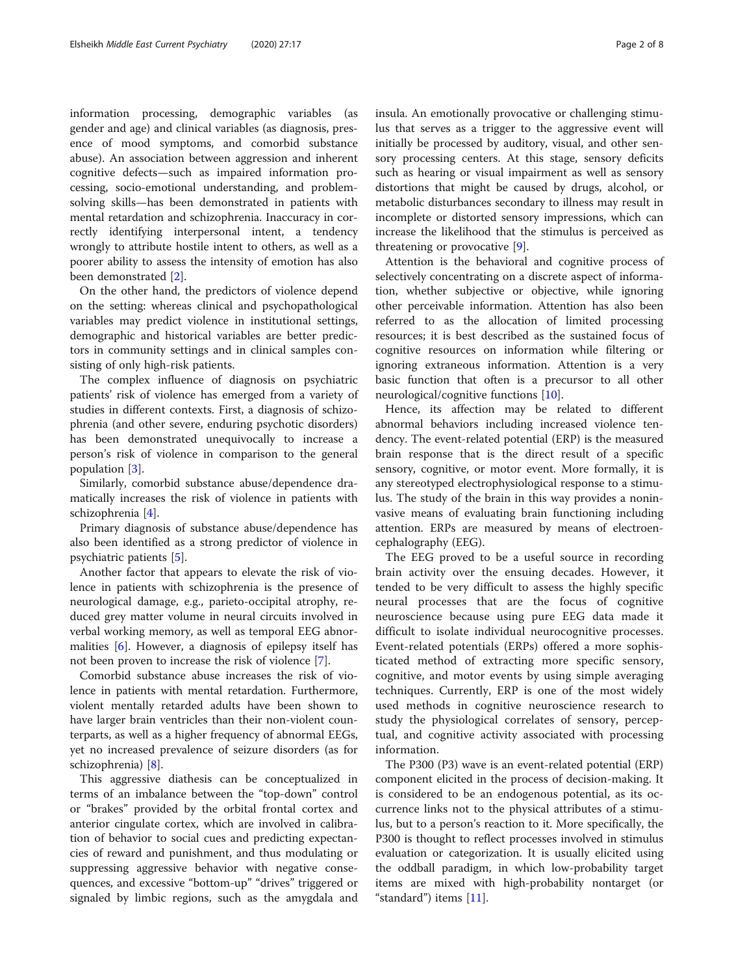information processing, demographic variables (as gender and age) and clinical variables (as diagnosis, presence of mood symptoms, and comorbid substance abuse). An association between aggression and inherent cognitive defects—such as impaired information processing, socio-emotional understanding, and problemsolving skills—has been demonstrated in patients with mental retardation and schizophrenia. Inaccuracy in correctly identifying interpersonal intent, a tendency wrongly to attribute hostile intent to others, as well as a poorer ability to assess the intensity of emotion has also been demonstrated [\[2](#page-7-0)].

On the other hand, the predictors of violence depend on the setting: whereas clinical and psychopathological variables may predict violence in institutional settings, demographic and historical variables are better predictors in community settings and in clinical samples consisting of only high-risk patients.

The complex influence of diagnosis on psychiatric patients' risk of violence has emerged from a variety of studies in different contexts. First, a diagnosis of schizophrenia (and other severe, enduring psychotic disorders) has been demonstrated unequivocally to increase a person's risk of violence in comparison to the general population [[3\]](#page-7-0).

Similarly, comorbid substance abuse/dependence dramatically increases the risk of violence in patients with schizophrenia [\[4](#page-7-0)].

Primary diagnosis of substance abuse/dependence has also been identified as a strong predictor of violence in psychiatric patients [[5\]](#page-7-0).

Another factor that appears to elevate the risk of violence in patients with schizophrenia is the presence of neurological damage, e.g., parieto-occipital atrophy, reduced grey matter volume in neural circuits involved in verbal working memory, as well as temporal EEG abnormalities [[6\]](#page-7-0). However, a diagnosis of epilepsy itself has not been proven to increase the risk of violence [\[7](#page-7-0)].

Comorbid substance abuse increases the risk of violence in patients with mental retardation. Furthermore, violent mentally retarded adults have been shown to have larger brain ventricles than their non-violent counterparts, as well as a higher frequency of abnormal EEGs, yet no increased prevalence of seizure disorders (as for schizophrenia) [\[8](#page-7-0)].

This aggressive diathesis can be conceptualized in terms of an imbalance between the "top-down" control or "brakes" provided by the orbital frontal cortex and anterior cingulate cortex, which are involved in calibration of behavior to social cues and predicting expectancies of reward and punishment, and thus modulating or suppressing aggressive behavior with negative consequences, and excessive "bottom-up" "drives" triggered or signaled by limbic regions, such as the amygdala and insula. An emotionally provocative or challenging stimulus that serves as a trigger to the aggressive event will initially be processed by auditory, visual, and other sensory processing centers. At this stage, sensory deficits such as hearing or visual impairment as well as sensory distortions that might be caused by drugs, alcohol, or metabolic disturbances secondary to illness may result in incomplete or distorted sensory impressions, which can increase the likelihood that the stimulus is perceived as threatening or provocative [\[9](#page-7-0)].

Attention is the behavioral and cognitive process of selectively concentrating on a discrete aspect of information, whether subjective or objective, while ignoring other perceivable information. Attention has also been referred to as the allocation of limited processing resources; it is best described as the sustained focus of cognitive resources on information while filtering or ignoring extraneous information. Attention is a very basic function that often is a precursor to all other neurological/cognitive functions [\[10](#page-7-0)].

Hence, its affection may be related to different abnormal behaviors including increased violence tendency. The event-related potential (ERP) is the measured brain response that is the direct result of a specific sensory, cognitive, or motor event. More formally, it is any stereotyped electrophysiological response to a stimulus. The study of the brain in this way provides a noninvasive means of evaluating brain functioning including attention. ERPs are measured by means of electroencephalography (EEG).

The EEG proved to be a useful source in recording brain activity over the ensuing decades. However, it tended to be very difficult to assess the highly specific neural processes that are the focus of cognitive neuroscience because using pure EEG data made it difficult to isolate individual neurocognitive processes. Event-related potentials (ERPs) offered a more sophisticated method of extracting more specific sensory, cognitive, and motor events by using simple averaging techniques. Currently, ERP is one of the most widely used methods in cognitive neuroscience research to study the physiological correlates of sensory, perceptual, and cognitive activity associated with processing information.

The P300 (P3) wave is an event-related potential (ERP) component elicited in the process of decision-making. It is considered to be an endogenous potential, as its occurrence links not to the physical attributes of a stimulus, but to a person's reaction to it. More specifically, the P300 is thought to reflect processes involved in stimulus evaluation or categorization. It is usually elicited using the oddball paradigm, in which low-probability target items are mixed with high-probability nontarget (or "standard") items [\[11](#page-7-0)].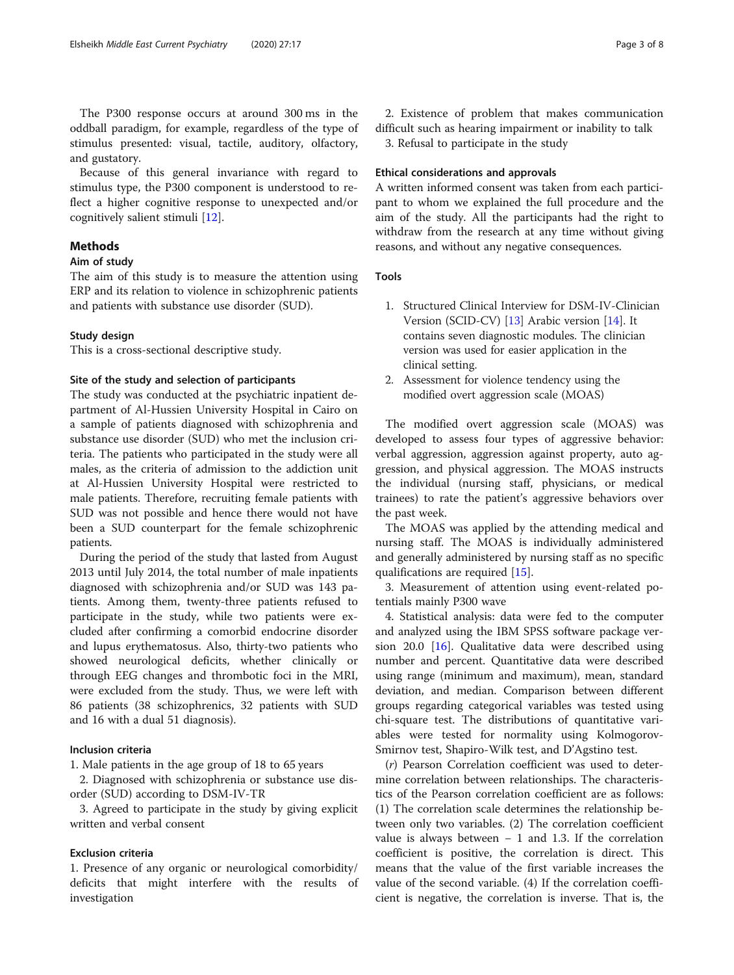The P300 response occurs at around 300 ms in the oddball paradigm, for example, regardless of the type of stimulus presented: visual, tactile, auditory, olfactory, and gustatory.

Because of this general invariance with regard to stimulus type, the P300 component is understood to reflect a higher cognitive response to unexpected and/or cognitively salient stimuli [[12\]](#page-7-0).

#### Methods

#### Aim of study

The aim of this study is to measure the attention using ERP and its relation to violence in schizophrenic patients and patients with substance use disorder (SUD).

#### Study design

This is a cross-sectional descriptive study.

#### Site of the study and selection of participants

The study was conducted at the psychiatric inpatient department of Al-Hussien University Hospital in Cairo on a sample of patients diagnosed with schizophrenia and substance use disorder (SUD) who met the inclusion criteria. The patients who participated in the study were all males, as the criteria of admission to the addiction unit at Al-Hussien University Hospital were restricted to male patients. Therefore, recruiting female patients with SUD was not possible and hence there would not have been a SUD counterpart for the female schizophrenic patients.

During the period of the study that lasted from August 2013 until July 2014, the total number of male inpatients diagnosed with schizophrenia and/or SUD was 143 patients. Among them, twenty-three patients refused to participate in the study, while two patients were excluded after confirming a comorbid endocrine disorder and lupus erythematosus. Also, thirty-two patients who showed neurological deficits, whether clinically or through EEG changes and thrombotic foci in the MRI, were excluded from the study. Thus, we were left with 86 patients (38 schizophrenics, 32 patients with SUD and 16 with a dual 51 diagnosis).

#### Inclusion criteria

1. Male patients in the age group of 18 to 65 years

2. Diagnosed with schizophrenia or substance use disorder (SUD) according to DSM-IV-TR

3. Agreed to participate in the study by giving explicit written and verbal consent

#### Exclusion criteria

1. Presence of any organic or neurological comorbidity/ deficits that might interfere with the results of investigation

2. Existence of problem that makes communication difficult such as hearing impairment or inability to talk 3. Refusal to participate in the study

#### Ethical considerations and approvals

A written informed consent was taken from each participant to whom we explained the full procedure and the aim of the study. All the participants had the right to withdraw from the research at any time without giving reasons, and without any negative consequences.

#### Tools

- 1. Structured Clinical Interview for DSM-IV-Clinician Version (SCID-CV) [[13](#page-7-0)] Arabic version [\[14\]](#page-7-0). It contains seven diagnostic modules. The clinician version was used for easier application in the clinical setting.
- 2. Assessment for violence tendency using the modified overt aggression scale (MOAS)

The modified overt aggression scale (MOAS) was developed to assess four types of aggressive behavior: verbal aggression, aggression against property, auto aggression, and physical aggression. The MOAS instructs the individual (nursing staff, physicians, or medical trainees) to rate the patient's aggressive behaviors over the past week.

The MOAS was applied by the attending medical and nursing staff. The MOAS is individually administered and generally administered by nursing staff as no specific qualifications are required [[15\]](#page-7-0).

3. Measurement of attention using event-related potentials mainly P300 wave

4. Statistical analysis: data were fed to the computer and analyzed using the IBM SPSS software package version 20.0 [\[16\]](#page-7-0). Qualitative data were described using number and percent. Quantitative data were described using range (minimum and maximum), mean, standard deviation, and median. Comparison between different groups regarding categorical variables was tested using chi-square test. The distributions of quantitative variables were tested for normality using Kolmogorov-Smirnov test, Shapiro-Wilk test, and D'Agstino test.

(r) Pearson Correlation coefficient was used to determine correlation between relationships. The characteristics of the Pearson correlation coefficient are as follows: (1) The correlation scale determines the relationship between only two variables. (2) The correlation coefficient value is always between − 1 and 1.3. If the correlation coefficient is positive, the correlation is direct. This means that the value of the first variable increases the value of the second variable. (4) If the correlation coefficient is negative, the correlation is inverse. That is, the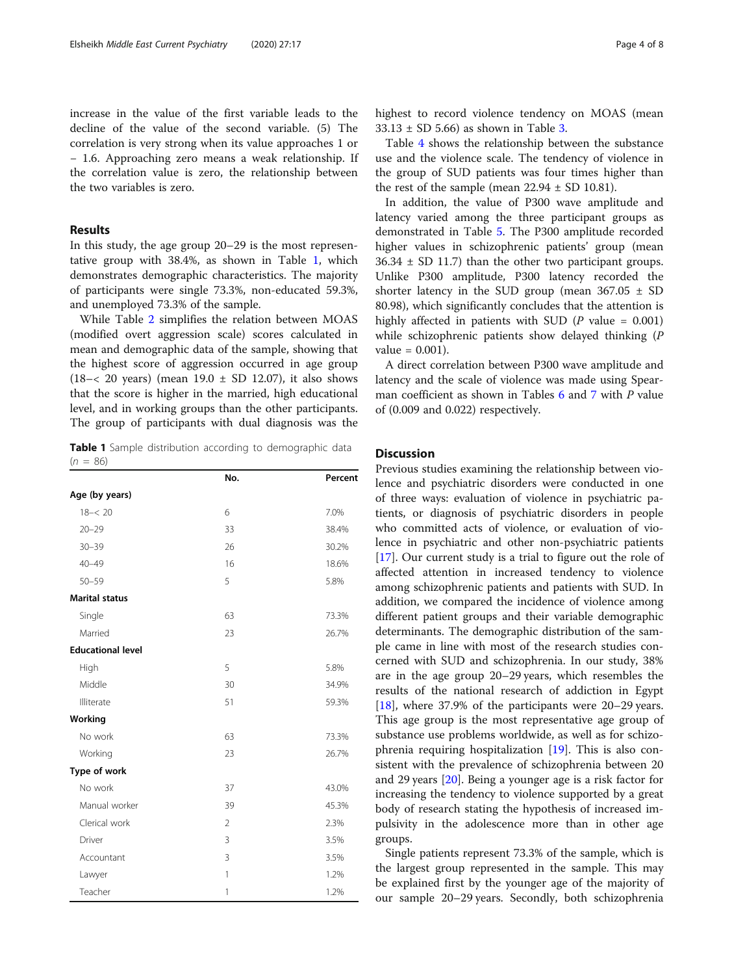#### Results

In this study, the age group 20–29 is the most representative group with 38.4%, as shown in Table 1, which demonstrates demographic characteristics. The majority of participants were single 73.3%, non-educated 59.3%, and unemployed 73.3% of the sample.

While Table [2](#page-4-0) simplifies the relation between MOAS (modified overt aggression scale) scores calculated in mean and demographic data of the sample, showing that the highest score of aggression occurred in age group  $(18 - < 20$  years) (mean  $19.0 \pm SD$  12.07), it also shows that the score is higher in the married, high educational level, and in working groups than the other participants. The group of participants with dual diagnosis was the

Table 1 Sample distribution according to demographic data  $(n = 86)$ 

|                          | No.            | Percent |
|--------------------------|----------------|---------|
| Age (by years)           |                |         |
| $18 - 20$                | 6              | 7.0%    |
| $20 - 29$                | 33             | 38.4%   |
| $30 - 39$                | 26             | 30.2%   |
| $40 - 49$                | 16             | 18.6%   |
| $50 - 59$                | 5              | 5.8%    |
| <b>Marital status</b>    |                |         |
| Single                   | 63             | 73.3%   |
| Married                  | 23             | 26.7%   |
| <b>Educational level</b> |                |         |
| High                     | 5              | 5.8%    |
| Middle                   | 30             | 34.9%   |
| Illiterate               | 51             | 59.3%   |
| Working                  |                |         |
| No work                  | 63             | 73.3%   |
| Working                  | 23             | 26.7%   |
| Type of work             |                |         |
| No work                  | 37             | 43.0%   |
| Manual worker            | 39             | 45.3%   |
| Clerical work            | $\mathfrak{D}$ | 2.3%    |
| Driver                   | 3              | 3.5%    |
| Accountant               | $\overline{3}$ | 3.5%    |
| Lawyer                   | 1              | 1.2%    |
| Teacher                  | 1              | 1.2%    |

highest to record violence tendency on MOAS (mean  $33.13 \pm SD$  $33.13 \pm SD$  $33.13 \pm SD$  5.66) as shown in Table 3.

Table [4](#page-5-0) shows the relationship between the substance use and the violence scale. The tendency of violence in the group of SUD patients was four times higher than the rest of the sample (mean  $22.94 \pm SD$  10.81).

In addition, the value of P300 wave amplitude and latency varied among the three participant groups as demonstrated in Table [5.](#page-5-0) The P300 amplitude recorded higher values in schizophrenic patients' group (mean  $36.34 \pm SD$  11.7) than the other two participant groups. Unlike P300 amplitude, P300 latency recorded the shorter latency in the SUD group (mean  $367.05 \pm SD$ 80.98), which significantly concludes that the attention is highly affected in patients with SUD ( $P$  value = 0.001) while schizophrenic patients show delayed thinking (P  $value = 0.001$ ).

A direct correlation between P300 wave amplitude and latency and the scale of violence was made using Spear-man coefficient as shown in Tables [6](#page-5-0) and [7](#page-6-0) with P value of (0.009 and 0.022) respectively.

#### **Discussion**

Previous studies examining the relationship between violence and psychiatric disorders were conducted in one of three ways: evaluation of violence in psychiatric patients, or diagnosis of psychiatric disorders in people who committed acts of violence, or evaluation of violence in psychiatric and other non-psychiatric patients [[17\]](#page-7-0). Our current study is a trial to figure out the role of affected attention in increased tendency to violence among schizophrenic patients and patients with SUD. In addition, we compared the incidence of violence among different patient groups and their variable demographic determinants. The demographic distribution of the sample came in line with most of the research studies concerned with SUD and schizophrenia. In our study, 38% are in the age group 20–29 years, which resembles the results of the national research of addiction in Egypt [[18\]](#page-7-0), where 37.9% of the participants were 20–29 years. This age group is the most representative age group of substance use problems worldwide, as well as for schizophrenia requiring hospitalization [\[19](#page-7-0)]. This is also consistent with the prevalence of schizophrenia between 20 and 29 years [\[20](#page-7-0)]. Being a younger age is a risk factor for increasing the tendency to violence supported by a great body of research stating the hypothesis of increased impulsivity in the adolescence more than in other age groups.

Single patients represent 73.3% of the sample, which is the largest group represented in the sample. This may be explained first by the younger age of the majority of our sample 20–29 years. Secondly, both schizophrenia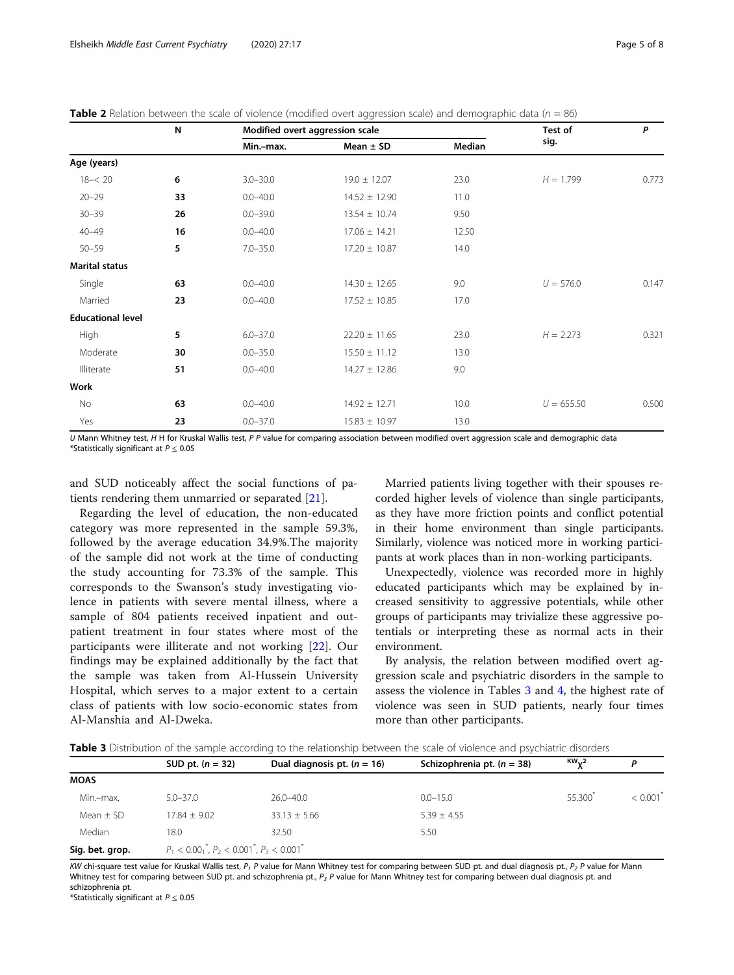<span id="page-4-0"></span>**Table 2** Relation between the scale of violence (modified overt aggression scale) and demographic data ( $n = 86$ )

|                          | N  | Modified overt aggression scale |                   | Test of       | P            |       |
|--------------------------|----|---------------------------------|-------------------|---------------|--------------|-------|
|                          |    | Min.-max.                       | Mean $\pm$ SD     | <b>Median</b> | sig.         |       |
| Age (years)              |    |                                 |                   |               |              |       |
| $18 - 20$                | 6  | $3.0 - 30.0$                    | $19.0 \pm 12.07$  | 23.0          | $H = 1.799$  | 0.773 |
| $20 - 29$                | 33 | $0.0 - 40.0$                    | $14.52 \pm 12.90$ | 11.0          |              |       |
| $30 - 39$                | 26 | $0.0 - 39.0$                    | $13.54 \pm 10.74$ | 9.50          |              |       |
| $40 - 49$                | 16 | $0.0 - 40.0$                    | $17.06 \pm 14.21$ | 12.50         |              |       |
| $50 - 59$                | 5  | $7.0 - 35.0$                    | $17.20 \pm 10.87$ | 14.0          |              |       |
| <b>Marital status</b>    |    |                                 |                   |               |              |       |
| Single                   | 63 | $0.0 - 40.0$                    | $14.30 \pm 12.65$ | 9.0           | $U = 576.0$  | 0.147 |
| Married                  | 23 | $0.0 - 40.0$                    | $17.52 \pm 10.85$ | 17.0          |              |       |
| <b>Educational level</b> |    |                                 |                   |               |              |       |
| High                     | 5  | $6.0 - 37.0$                    | $22.20 \pm 11.65$ | 23.0          | $H = 2.273$  | 0.321 |
| Moderate                 | 30 | $0.0 - 35.0$                    | $15.50 \pm 11.12$ | 13.0          |              |       |
| Illiterate               | 51 | $0.0 - 40.0$                    | $14.27 \pm 12.86$ | 9.0           |              |       |
| Work                     |    |                                 |                   |               |              |       |
| No                       | 63 | $0.0 - 40.0$                    | $14.92 \pm 12.71$ | 10.0          | $U = 655.50$ | 0.500 |
| Yes                      | 23 | $0.0 - 37.0$                    | $15.83 \pm 10.97$ | 13.0          |              |       |

U Mann Whitney test, H H for Kruskal Wallis test, P P value for comparing association between modified overt aggression scale and demographic data \*Statistically significant at  $P \le 0.05$ 

and SUD noticeably affect the social functions of patients rendering them unmarried or separated [[21\]](#page-7-0).

Regarding the level of education, the non-educated category was more represented in the sample 59.3%, followed by the average education 34.9%.The majority of the sample did not work at the time of conducting the study accounting for 73.3% of the sample. This corresponds to the Swanson's study investigating violence in patients with severe mental illness, where a sample of 804 patients received inpatient and outpatient treatment in four states where most of the participants were illiterate and not working [[22\]](#page-7-0). Our findings may be explained additionally by the fact that the sample was taken from Al-Hussein University Hospital, which serves to a major extent to a certain class of patients with low socio-economic states from Al-Manshia and Al-Dweka.

Married patients living together with their spouses recorded higher levels of violence than single participants, as they have more friction points and conflict potential in their home environment than single participants. Similarly, violence was noticed more in working participants at work places than in non-working participants.

Unexpectedly, violence was recorded more in highly educated participants which may be explained by increased sensitivity to aggressive potentials, while other groups of participants may trivialize these aggressive potentials or interpreting these as normal acts in their environment.

By analysis, the relation between modified overt aggression scale and psychiatric disorders in the sample to assess the violence in Tables 3 and [4,](#page-5-0) the highest rate of violence was seen in SUD patients, nearly four times more than other participants.

Table 3 Distribution of the sample according to the relationship between the scale of violence and psychiatric disorders

|                 | SUD pt. $(n = 32)$                                   | Dual diagnosis pt. $(n = 16)$ | Schizophrenia pt. $(n = 38)$ | $KW_{12}$ | D                      |
|-----------------|------------------------------------------------------|-------------------------------|------------------------------|-----------|------------------------|
| <b>MOAS</b>     |                                                      |                               |                              |           |                        |
| Min.-max.       | $5.0 - 37.0$                                         | $26.0 - 40.0$                 | $0.0 - 15.0$                 | 55,300    | $< 0.001$ <sup>*</sup> |
| Mean $\pm$ SD   | $17.84 + 9.02$                                       | $33.13 \pm 5.66$              | $5.39 \pm 4.55$              |           |                        |
| Median          | 18.0                                                 | 32.50                         | 5.50                         |           |                        |
| Sig. bet. grop. | $P_1 < 0.00_1^*$ , $P_2 < 0.001^*$ , $P_3 < 0.001^*$ |                               |                              |           |                        |

KW chi-square test value for Kruskal Wallis test,  $P_1$  P value for Mann Whitney test for comparing between SUD pt. and dual diagnosis pt.,  $P_2$  P value for Mann Whitney test for comparing between SUD pt. and schizophrenia pt.,  $P_3$  P value for Mann Whitney test for comparing between dual diagnosis pt. and schizophrenia pt.

\*Statistically significant at  $P \leq 0.05$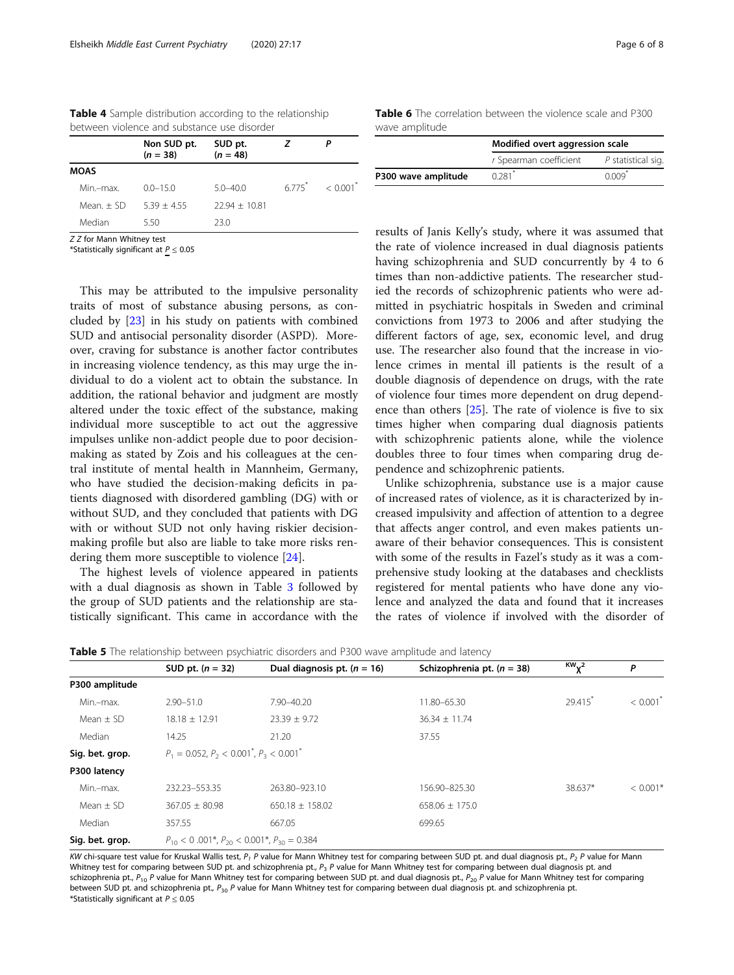<span id="page-5-0"></span>

| <b>Table 4</b> Sample distribution according to the relationship |  |
|------------------------------------------------------------------|--|
| between violence and substance use disorder                      |  |

|             | Non SUD pt.<br>$(n = 38)$ | SUD pt.<br>$(n = 48)$ |                     |                        |
|-------------|---------------------------|-----------------------|---------------------|------------------------|
| <b>MOAS</b> |                           |                       |                     |                        |
| Min.-max.   | $0.0 - 15.0$              | $5.0 - 40.0$          | $6775$ <sup>*</sup> | $< 0.001$ <sup>*</sup> |
| Mean $+$ SD | $539 + 455$               | $2294 + 1081$         |                     |                        |
| Median      | 5.50                      | 230                   |                     |                        |

Z Z for Mann Whitney test

\*Statistically significant at  $P \leq 0.05$ 

This may be attributed to the impulsive personality traits of most of substance abusing persons, as concluded by [\[23\]](#page-7-0) in his study on patients with combined SUD and antisocial personality disorder (ASPD). Moreover, craving for substance is another factor contributes in increasing violence tendency, as this may urge the individual to do a violent act to obtain the substance. In addition, the rational behavior and judgment are mostly altered under the toxic effect of the substance, making individual more susceptible to act out the aggressive impulses unlike non-addict people due to poor decisionmaking as stated by Zois and his colleagues at the central institute of mental health in Mannheim, Germany, who have studied the decision-making deficits in patients diagnosed with disordered gambling (DG) with or without SUD, and they concluded that patients with DG with or without SUD not only having riskier decisionmaking profile but also are liable to take more risks rendering them more susceptible to violence [\[24](#page-7-0)].

The highest levels of violence appeared in patients with a dual diagnosis as shown in Table [3](#page-4-0) followed by the group of SUD patients and the relationship are statistically significant. This came in accordance with the

Table 6 The correlation between the violence scale and P300 wave amplitude

|                     | Modified overt aggression scale |                    |  |
|---------------------|---------------------------------|--------------------|--|
|                     | r Spearman coefficient          | P statistical sig. |  |
| P300 wave amplitude | $0.281$ <sup>*</sup>            | $0.009*$           |  |

results of Janis Kelly's study, where it was assumed that the rate of violence increased in dual diagnosis patients having schizophrenia and SUD concurrently by 4 to 6 times than non-addictive patients. The researcher studied the records of schizophrenic patients who were admitted in psychiatric hospitals in Sweden and criminal convictions from 1973 to 2006 and after studying the different factors of age, sex, economic level, and drug use. The researcher also found that the increase in violence crimes in mental ill patients is the result of a double diagnosis of dependence on drugs, with the rate of violence four times more dependent on drug dependence than others [\[25\]](#page-7-0). The rate of violence is five to six times higher when comparing dual diagnosis patients with schizophrenic patients alone, while the violence doubles three to four times when comparing drug dependence and schizophrenic patients.

Unlike schizophrenia, substance use is a major cause of increased rates of violence, as it is characterized by increased impulsivity and affection of attention to a degree that affects anger control, and even makes patients unaware of their behavior consequences. This is consistent with some of the results in Fazel's study as it was a comprehensive study looking at the databases and checklists registered for mental patients who have done any violence and analyzed the data and found that it increases the rates of violence if involved with the disorder of

| <b>Table 5</b> The relationship between psychiatric disorders and P300 wave amplitude and latency |  |  |
|---------------------------------------------------------------------------------------------------|--|--|
|---------------------------------------------------------------------------------------------------|--|--|

|                 | SUD pt. $(n = 32)$                                                | Dual diagnosis pt. $(n = 16)$ | Schizophrenia pt. $(n = 38)$ | $\frac{1}{2}$ | P                      |
|-----------------|-------------------------------------------------------------------|-------------------------------|------------------------------|---------------|------------------------|
| P300 amplitude  |                                                                   |                               |                              |               |                        |
| Min.-max.       | $2.90 - 51.0$                                                     | 7.90-40.20                    | 11.80-65.30                  | 29.415        | $< 0.001$ <sup>*</sup> |
| Mean $+$ SD     | $18.18 \pm 12.91$                                                 | $23.39 \pm 9.72$              | $36.34 \pm 11.74$            |               |                        |
| Median          | 14.25                                                             | 21.20                         | 37.55                        |               |                        |
| Sig. bet. grop. | $P_1 = 0.052$ , $P_2 < 0.001^{\degree}$ , $P_3 < 0.001^{\degree}$ |                               |                              |               |                        |
| P300 latency    |                                                                   |                               |                              |               |                        |
| Min.-max.       | 232.23-553.35                                                     | 263.80-923.10                 | 156.90-825.30                | 38.637*       | $< 0.001*$             |
| Mean $\pm$ SD   | $367.05 \pm 80.98$                                                | $650.18 \pm 158.02$           | $658.06 \pm 175.0$           |               |                        |
| Median          | 357.55                                                            | 667.05                        | 699.65                       |               |                        |
| Sig. bet. grop. | $P_{10}$ < 0.001*, $P_{20}$ < 0.001*, $P_{30}$ = 0.384            |                               |                              |               |                        |

KW chi-square test value for Kruskal Wallis test,  $P_1$  P value for Mann Whitney test for comparing between SUD pt. and dual diagnosis pt.,  $P_2$  P value for Mann Whitney test for comparing between SUD pt. and schizophrenia pt.,  $P_3$  P value for Mann Whitney test for comparing between dual diagnosis pt. and schizophrenia pt.,  $P_{10}$  P value for Mann Whitney test for comparing between SUD pt. and dual diagnosis pt.,  $P_{20}$  P value for Mann Whitney test for comparing between SUD pt. and schizophrenia pt., P<sub>30</sub> P value for Mann Whitney test for comparing between dual diagnosis pt. and schizophrenia pt. \*Statistically significant at  $P \leq 0.05$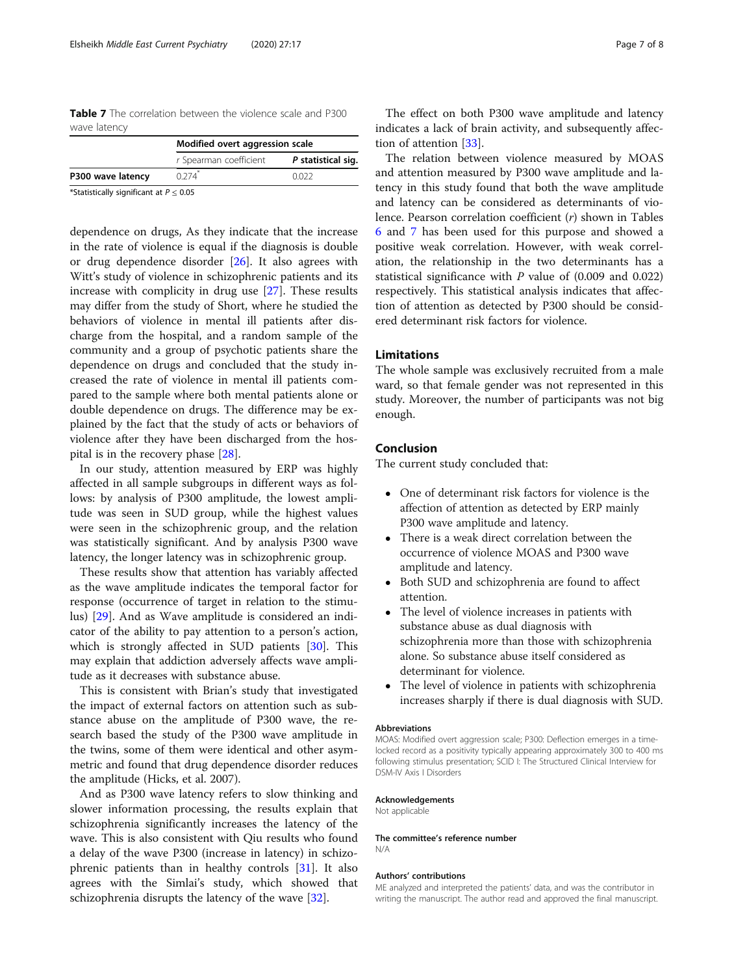<span id="page-6-0"></span>Table 7 The correlation between the violence scale and P300 wave latency

|                                             | Modified overt aggression scale |                    |  |
|---------------------------------------------|---------------------------------|--------------------|--|
|                                             | r Spearman coefficient          | P statistical sig. |  |
| P300 wave latency                           | $0.274$ <sup>*</sup>            | 0022               |  |
| *Statistically significant at $P \leq 0.05$ |                                 |                    |  |

dependence on drugs, As they indicate that the increase in the rate of violence is equal if the diagnosis is double or drug dependence disorder [[26\]](#page-7-0). It also agrees with Witt's study of violence in schizophrenic patients and its increase with complicity in drug use [[27](#page-7-0)]. These results may differ from the study of Short, where he studied the behaviors of violence in mental ill patients after discharge from the hospital, and a random sample of the community and a group of psychotic patients share the dependence on drugs and concluded that the study increased the rate of violence in mental ill patients compared to the sample where both mental patients alone or double dependence on drugs. The difference may be explained by the fact that the study of acts or behaviors of violence after they have been discharged from the hospital is in the recovery phase [\[28](#page-7-0)].

In our study, attention measured by ERP was highly affected in all sample subgroups in different ways as follows: by analysis of P300 amplitude, the lowest amplitude was seen in SUD group, while the highest values were seen in the schizophrenic group, and the relation was statistically significant. And by analysis P300 wave latency, the longer latency was in schizophrenic group.

These results show that attention has variably affected as the wave amplitude indicates the temporal factor for response (occurrence of target in relation to the stimulus) [\[29\]](#page-7-0). And as Wave amplitude is considered an indicator of the ability to pay attention to a person's action, which is strongly affected in SUD patients [[30\]](#page-7-0). This may explain that addiction adversely affects wave amplitude as it decreases with substance abuse.

This is consistent with Brian's study that investigated the impact of external factors on attention such as substance abuse on the amplitude of P300 wave, the research based the study of the P300 wave amplitude in the twins, some of them were identical and other asymmetric and found that drug dependence disorder reduces the amplitude (Hicks, et al. 2007).

And as P300 wave latency refers to slow thinking and slower information processing, the results explain that schizophrenia significantly increases the latency of the wave. This is also consistent with Qiu results who found a delay of the wave P300 (increase in latency) in schizophrenic patients than in healthy controls [[31\]](#page-7-0). It also agrees with the Simlai's study, which showed that schizophrenia disrupts the latency of the wave [\[32](#page-7-0)].

The effect on both P300 wave amplitude and latency indicates a lack of brain activity, and subsequently affection of attention [[33\]](#page-7-0).

The relation between violence measured by MOAS and attention measured by P300 wave amplitude and latency in this study found that both the wave amplitude and latency can be considered as determinants of violence. Pearson correlation coefficient (r) shown in Tables [6](#page-5-0) and 7 has been used for this purpose and showed a positive weak correlation. However, with weak correlation, the relationship in the two determinants has a statistical significance with  $P$  value of (0.009 and 0.022) respectively. This statistical analysis indicates that affection of attention as detected by P300 should be considered determinant risk factors for violence.

#### Limitations

The whole sample was exclusively recruited from a male ward, so that female gender was not represented in this study. Moreover, the number of participants was not big enough.

#### Conclusion

The current study concluded that:

- One of determinant risk factors for violence is the affection of attention as detected by ERP mainly P300 wave amplitude and latency.
- There is a weak direct correlation between the occurrence of violence MOAS and P300 wave amplitude and latency.
- Both SUD and schizophrenia are found to affect attention.
- The level of violence increases in patients with substance abuse as dual diagnosis with schizophrenia more than those with schizophrenia alone. So substance abuse itself considered as determinant for violence.
- The level of violence in patients with schizophrenia increases sharply if there is dual diagnosis with SUD.

#### Abbreviations

MOAS: Modified overt aggression scale; P300: Deflection emerges in a timelocked record as a positivity typically appearing approximately 300 to 400 ms following stimulus presentation; SCID I: The Structured Clinical Interview for DSM-IV Axis I Disorders

#### Acknowledgements

Not applicable

The committee's reference number N/A

#### Authors' contributions

ME analyzed and interpreted the patients' data, and was the contributor in writing the manuscript. The author read and approved the final manuscript.